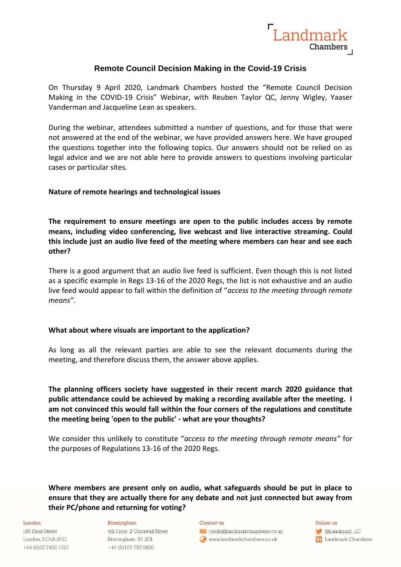

# **Remote Council Decision Making in the Covid-19 Crisis**

On Thursday 9 April 2020, Landmark Chambers hosted the "Remote Council Decision Making in the COVID-19 Crisis" Webinar, with Reuben Taylor QC, Jenny Wigley, Yaaser Vanderman and Jacqueline Lean as speakers.

During the webinar, attendees submitted a number of questions, and for those that were not answered at the end of the webinar, we have provided answers here. We have grouped the questions together into the following topics. Our answers should not be relied on as legal advice and we are not able here to provide answers to questions involving particular cases or particular sites.

# **Nature of remote hearings and technological issues**

**The requirement to ensure meetings are open to the public includes access by remote means, including video conferencing, live webcast and live interactive streaming. Could this include just an audio live feed of the meeting where members can hear and see each other?** 

There is a good argument that an audio live feed is sufficient. Even though this is not listed as a specific example in Regs 13-16 of the 2020 Regs, the list is not exhaustive and an audio live feed would appear to fall within the definition of "*access to the meeting through remote means"*.

# **What about where visuals are important to the application?**

As long as all the relevant parties are able to see the relevant documents during the meeting, and therefore discuss them, the answer above applies.

**The planning officers society have suggested in their recent march 2020 guidance that public attendance could be achieved by making a recording available after the meeting. I am not convinced this would fall within the four corners of the regulations and constitute the meeting being 'open to the public' - what are your thoughts?**

We consider this unlikely to constitute "*access to the meeting through remote means"* for the purposes of Regulations 13-16 of the 2020 Regs.

**Where members are present only on audio, what safeguards should be put in place to ensure that they are actually there for any debate and not just connected but away from their PC/phone and returning for voting?**

### London

180 Fleet Street London, EC4A 2HG +44 (0)20 7430 1221

### Birmingham

4th Floor, 2 Cornwall Street Birmingham, B3 2DL +44 (0)121 752 0800

#### Contact us

clerks@landmarkchambers.co.uk www.landmarkchambers.co.uk

Follow us

**C**Landmark\_LC in Landmark Chambers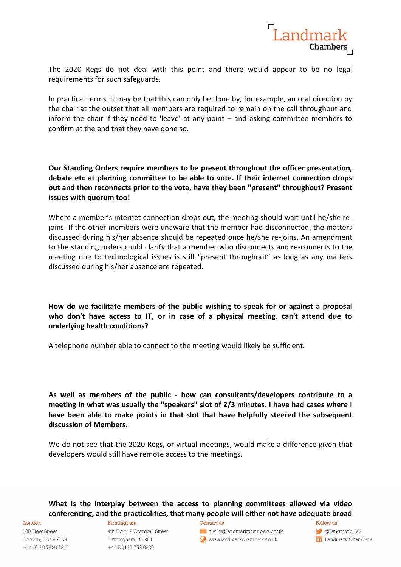

The 2020 Regs do not deal with this point and there would appear to be no legal requirements for such safeguards.

In practical terms, it may be that this can only be done by, for example, an oral direction by the chair at the outset that all members are required to remain on the call throughout and inform the chair if they need to 'leave' at any point – and asking committee members to confirm at the end that they have done so.

**Our Standing Orders require members to be present throughout the officer presentation, debate etc at planning committee to be able to vote. If their internet connection drops out and then reconnects prior to the vote, have they been "present" throughout? Present issues with quorum too!**

Where a member's internet connection drops out, the meeting should wait until he/she rejoins. If the other members were unaware that the member had disconnected, the matters discussed during his/her absence should be repeated once he/she re-joins. An amendment to the standing orders could clarify that a member who disconnects and re-connects to the meeting due to technological issues is still "present throughout" as long as any matters discussed during his/her absence are repeated.

**How do we facilitate members of the public wishing to speak for or against a proposal who don't have access to IT, or in case of a physical meeting, can't attend due to underlying health conditions?**

A telephone number able to connect to the meeting would likely be sufficient.

**As well as members of the public - how can consultants/developers contribute to a meeting in what was usually the "speakers" slot of 2/3 minutes. I have had cases where I have been able to make points in that slot that have helpfully steered the subsequent discussion of Members.**

We do not see that the 2020 Regs, or virtual meetings, would make a difference given that developers would still have remote access to the meetings.

**What is the interplay between the access to planning committees allowed via video conferencing, and the practicalities, that many people will either not have adequate broad** 

180 Fleet Street London, EC4A 2HG +44 (0) 20 7430 1221

London

Birmingham

4th Floor, 2 Cornwall Street Birmingham, B3 2DL +44 (0)121 752 0800

### Contact us

clerks@landmarkchambers.co.uk to www.landmarkchambers.co.uk

Follow us

C @Landmark\_LC **in** Landmark Chambers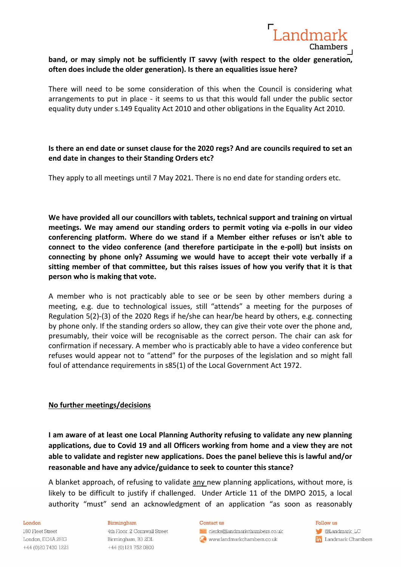

# **band, or may simply not be sufficiently IT savvy (with respect to the older generation, often does include the older generation). Is there an equalities issue here?**

There will need to be some consideration of this when the Council is considering what arrangements to put in place - it seems to us that this would fall under the public sector equality duty under s.149 Equality Act 2010 and other obligations in the Equality Act 2010.

# **Is there an end date or sunset clause for the 2020 regs? And are councils required to set an end date in changes to their Standing Orders etc?**

They apply to all meetings until 7 May 2021. There is no end date for standing orders etc.

**We have provided all our councillors with tablets, technical support and training on virtual meetings. We may amend our standing orders to permit voting via e-polls in our video conferencing platform. Where do we stand if a Member either refuses or isn't able to connect to the video conference (and therefore participate in the e-poll) but insists on connecting by phone only? Assuming we would have to accept their vote verbally if a sitting member of that committee, but this raises issues of how you verify that it is that person who is making that vote.**

A member who is not practicably able to see or be seen by other members during a meeting, e.g. due to technological issues, still "attends" a meeting for the purposes of Regulation 5(2)-(3) of the 2020 Regs if he/she can hear/be heard by others, e.g. connecting by phone only. If the standing orders so allow, they can give their vote over the phone and, presumably, their voice will be recognisable as the correct person. The chair can ask for confirmation if necessary. A member who is practicably able to have a video conference but refuses would appear not to "attend" for the purposes of the legislation and so might fall foul of attendance requirements in s85(1) of the Local Government Act 1972.

# **No further meetings/decisions**

**I am aware of at least one Local Planning Authority refusing to validate any new planning applications, due to Covid 19 and all Officers working from home and a view they are not able to validate and register new applications. Does the panel believe this is lawful and/or reasonable and have any advice/guidance to seek to counter this stance?**

A blanket approach, of refusing to validate any new planning applications, without more, is likely to be difficult to justify if challenged. Under Article 11 of the DMPO 2015, a local authority "must" send an acknowledgment of an application "as soon as reasonably

### London

180 Fleet Street London, EC4A 2HG +44 (0) 20 7430 1221

### Birmingham

4th Floor, 2 Cornwall Street Birmingham, B3 2DL +44 (0)121 752 0800

#### Contact us

clerks@landmarkchambers.co.uk www.landmarkchambers.co.uk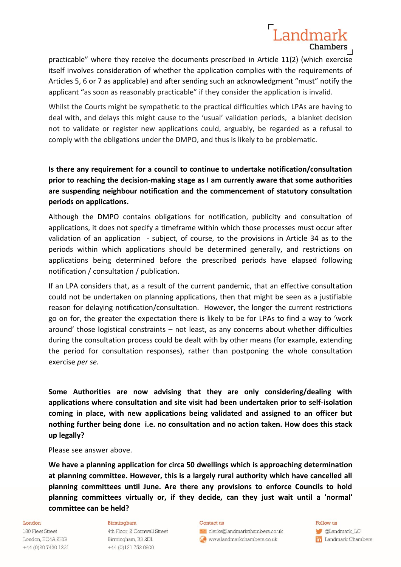# Landmark Chambers

practicable" where they receive the documents prescribed in Article 11(2) (which exercise itself involves consideration of whether the application complies with the requirements of Articles 5, 6 or 7 as applicable) and after sending such an acknowledgment "must" notify the applicant "as soon as reasonably practicable" if they consider the application is invalid.

Whilst the Courts might be sympathetic to the practical difficulties which LPAs are having to deal with, and delays this might cause to the 'usual' validation periods, a blanket decision not to validate or register new applications could, arguably, be regarded as a refusal to comply with the obligations under the DMPO, and thus is likely to be problematic.

**Is there any requirement for a council to continue to undertake notification/consultation prior to reaching the decision-making stage as I am currently aware that some authorities are suspending neighbour notification and the commencement of statutory consultation periods on applications.**

Although the DMPO contains obligations for notification, publicity and consultation of applications, it does not specify a timeframe within which those processes must occur after validation of an application - subject, of course, to the provisions in Article 34 as to the periods within which applications should be determined generally, and restrictions on applications being determined before the prescribed periods have elapsed following notification / consultation / publication.

If an LPA considers that, as a result of the current pandemic, that an effective consultation could not be undertaken on planning applications, then that might be seen as a justifiable reason for delaying notification/consultation. However, the longer the current restrictions go on for, the greater the expectation there is likely to be for LPAs to find a way to 'work around' those logistical constraints – not least, as any concerns about whether difficulties during the consultation process could be dealt with by other means (for example, extending the period for consultation responses), rather than postponing the whole consultation exercise *per se.*

**Some Authorities are now advising that they are only considering/dealing with applications where consultation and site visit had been undertaken prior to self-isolation coming in place, with new applications being validated and assigned to an officer but nothing further being done i.e. no consultation and no action taken. How does this stack up legally?**

Please see answer above.

**We have a planning application for circa 50 dwellings which is approaching determination at planning committee. However, this is a largely rural authority which have cancelled all planning committees until June. Are there any provisions to enforce Councils to hold planning committees virtually or, if they decide, can they just wait until a 'normal' committee can be held?** 

#### London

180 Fleet Street London, EC4A 2HG +44 (0)20 7430 1221

### Birmingham

4th Floor, 2 Cornwall Street Birmingham, B3 2DL +44 (0)121 752 0800

#### Contact us

clerks@landmarkchambers.co.uk to www.landmarkchambers.co.uk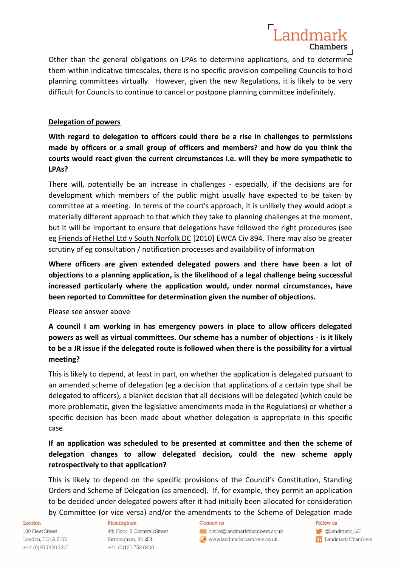

Landmark

Chambers

# **Delegation of powers**

**With regard to delegation to officers could there be a rise in challenges to permissions made by officers or a small group of officers and members? and how do you think the courts would react given the current circumstances i.e. will they be more sympathetic to LPAs?**

There will, potentially be an increase in challenges - especially, if the decisions are for development which members of the public might usually have expected to be taken by committee at a meeting. In terms of the court's approach, it is unlikely they would adopt a materially different approach to that which they take to planning challenges at the moment, but it will be important to ensure that delegations have followed the right procedures (see eg Friends of Hethel Ltd v South Norfolk DC [2010] EWCA Civ 894. There may also be greater scrutiny of eg consultation / notification processes and availability of information

**Where officers are given extended delegated powers and there have been a lot of objections to a planning application, is the likelihood of a legal challenge being successful increased particularly where the application would, under normal circumstances, have been reported to Committee for determination given the number of objections.**

Please see answer above

**A council I am working in has emergency powers in place to allow officers delegated powers as well as virtual committees. Our scheme has a number of objections - is it likely to be a JR issue if the delegated route is followed when there is the possibility for a virtual meeting?**

This is likely to depend, at least in part, on whether the application is delegated pursuant to an amended scheme of delegation (eg a decision that applications of a certain type shall be delegated to officers), a blanket decision that all decisions will be delegated (which could be more problematic, given the legislative amendments made in the Regulations) or whether a specific decision has been made about whether delegation is appropriate in this specific case.

**If an application was scheduled to be presented at committee and then the scheme of delegation changes to allow delegated decision, could the new scheme apply retrospectively to that application?**

This is likely to depend on the specific provisions of the Council's Constitution, Standing Orders and Scheme of Delegation (as amended). If, for example, they permit an application to be decided under delegated powers after it had initially been allocated for consideration by Committee (or vice versa) and/or the amendments to the Scheme of Delegation made

### London

180 Fleet Street London, EC4A 2HG +44 (0)20 7430 1221

### Birmingham

4th Floor, 2 Cornwall Street Birmingham, B3 2DL +44 (0)121 752 0800

#### Contact us

clerks@landmarkchambers.co.uk to www.landmarkchambers.co.uk

Follow us

C @Landmark\_LC **in** Landmark Chambers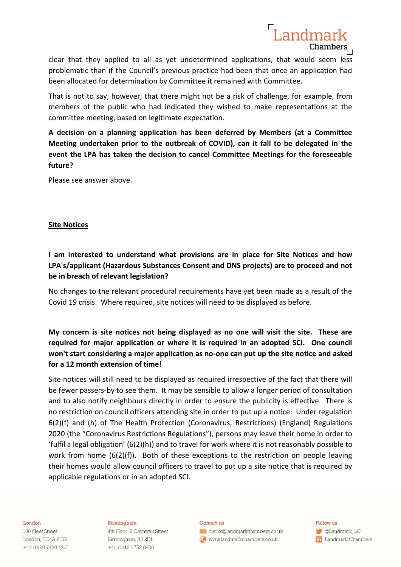

clear that they applied to all as yet undetermined applications, that would seem less problematic than if the Council's previous practice had been that once an application had been allocated for determination by Committee it remained with Committee.

That is not to say, however, that there might not be a risk of challenge, for example, from members of the public who had indicated they wished to make representations at the committee meeting, based on legitimate expectation.

**A decision on a planning application has been deferred by Members (at a Committee Meeting undertaken prior to the outbreak of COVID), can it fall to be delegated in the event the LPA has taken the decision to cancel Committee Meetings for the foreseeable future?**

Please see answer above.

# **Site Notices**

**I am interested to understand what provisions are in place for Site Notices and how LPA's/applicant (Hazardous Substances Consent and DNS projects) are to proceed and not be in breach of relevant legislation?**

No changes to the relevant procedural requirements have yet been made as a result of the Covid 19 crisis. Where required, site notices will need to be displayed as before.

**My concern is site notices not being displayed as no one will visit the site. These are required for major application or where it is required in an adopted SCI. One council won't start considering a major application as no-one can put up the site notice and asked for a 12 month extension of time!**

Site notices will still need to be displayed as required irrespective of the fact that there will be fewer passers-by to see them. It may be sensible to allow a longer period of consultation and to also notify neighbours directly in order to ensure the publicity is effective. There is no restriction on council officers attending site in order to put up a notice: Under regulation 6(2)(f) and (h) of The Health Protection (Coronavirus, Restrictions) (England) Regulations 2020 (the "Coronavirus Restrictions Regulations"), persons may leave their home in order to 'fulfil a legal obligation' (6(2)(h)) and to travel for work where it is not reasonably possible to work from home (6(2)(f)). Both of these exceptions to the restriction on people leaving their homes would allow council officers to travel to put up a site notice that is required by applicable regulations or in an adopted SCI.

### London

180 Fleet Street London, EC4A 2HG +44 (0)20 7430 1221

### Birmingham

4th Floor, 2 Cornwall Street Birmingham, B3 2DL +44 (0)121 752 0800

#### Contact us

clerks@landmarkchambers.co.uk www.landmarkchambers.co.uk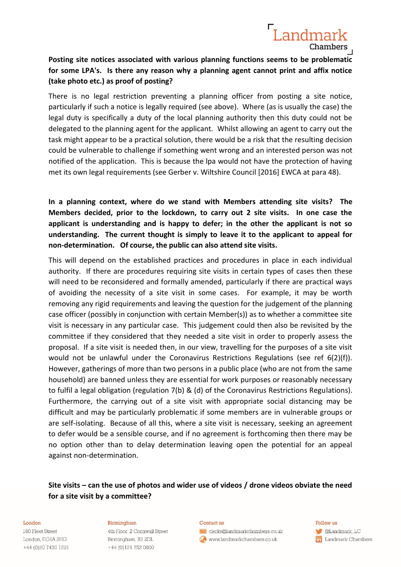

**Posting site notices associated with various planning functions seems to be problematic for some LPA's. Is there any reason why a planning agent cannot print and affix notice (take photo etc.) as proof of posting?**

There is no legal restriction preventing a planning officer from posting a site notice, particularly if such a notice is legally required (see above). Where (as is usually the case) the legal duty is specifically a duty of the local planning authority then this duty could not be delegated to the planning agent for the applicant. Whilst allowing an agent to carry out the task might appear to be a practical solution, there would be a risk that the resulting decision could be vulnerable to challenge if something went wrong and an interested person was not notified of the application. This is because the lpa would not have the protection of having met its own legal requirements (see Gerber v. Wiltshire Council [2016] EWCA at para 48).

**In a planning context, where do we stand with Members attending site visits? The Members decided, prior to the lockdown, to carry out 2 site visits. In one case the applicant is understanding and is happy to defer; in the other the applicant is not so understanding. The current thought is simply to leave it to the applicant to appeal for non-determination. Of course, the public can also attend site visits.**

This will depend on the established practices and procedures in place in each individual authority. If there are procedures requiring site visits in certain types of cases then these will need to be reconsidered and formally amended, particularly if there are practical ways of avoiding the necessity of a site visit in some cases. For example, it may be worth removing any rigid requirements and leaving the question for the judgement of the planning case officer (possibly in conjunction with certain Member(s)) as to whether a committee site visit is necessary in any particular case. This judgement could then also be revisited by the committee if they considered that they needed a site visit in order to properly assess the proposal. If a site visit is needed then, in our view, travelling for the purposes of a site visit would not be unlawful under the Coronavirus Restrictions Regulations (see ref 6(2)(f)). However, gatherings of more than two persons in a public place (who are not from the same household) are banned unless they are essential for work purposes or reasonably necessary to fulfil a legal obligation (regulation 7(b) & (d) of the Coronavirus Restrictions Regulations). Furthermore, the carrying out of a site visit with appropriate social distancing may be difficult and may be particularly problematic if some members are in vulnerable groups or are self-isolating. Because of all this, where a site visit is necessary, seeking an agreement to defer would be a sensible course, and if no agreement is forthcoming then there may be no option other than to delay determination leaving open the potential for an appeal against non-determination.

# **Site visits – can the use of photos and wider use of videos / drone videos obviate the need for a site visit by a committee?**

#### London

180 Fleet Street London, EC4A 2HG +44 (0)20 7430 1221

### Birmingham

4th Floor, 2 Cornwall Street Birmingham, B3 2DL +44 (0)121 752 0800

#### Contact us

clerks@landmarkchambers.co.uk www.landmarkchambers.co.uk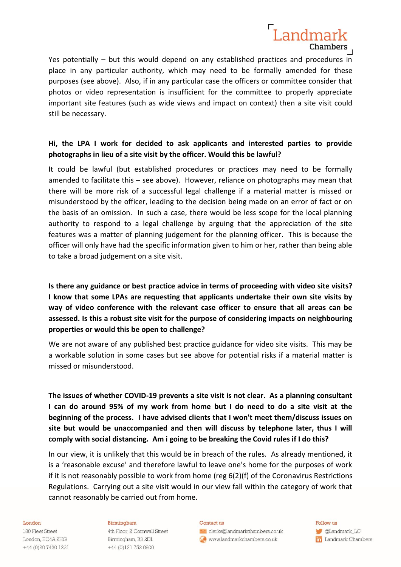

Yes potentially – but this would depend on any established practices and procedures in place in any particular authority, which may need to be formally amended for these purposes (see above). Also, if in any particular case the officers or committee consider that photos or video representation is insufficient for the committee to properly appreciate important site features (such as wide views and impact on context) then a site visit could still be necessary.

# **Hi, the LPA I work for decided to ask applicants and interested parties to provide photographs in lieu of a site visit by the officer. Would this be lawful?**

It could be lawful (but established procedures or practices may need to be formally amended to facilitate this – see above). However, reliance on photographs may mean that there will be more risk of a successful legal challenge if a material matter is missed or misunderstood by the officer, leading to the decision being made on an error of fact or on the basis of an omission. In such a case, there would be less scope for the local planning authority to respond to a legal challenge by arguing that the appreciation of the site features was a matter of planning judgement for the planning officer. This is because the officer will only have had the specific information given to him or her, rather than being able to take a broad judgement on a site visit.

**Is there any guidance or best practice advice in terms of proceeding with video site visits? I know that some LPAs are requesting that applicants undertake their own site visits by way of video conference with the relevant case officer to ensure that all areas can be assessed. Is this a robust site visit for the purpose of considering impacts on neighbouring properties or would this be open to challenge?**

We are not aware of any published best practice guidance for video site visits. This may be a workable solution in some cases but see above for potential risks if a material matter is missed or misunderstood.

**The issues of whether COVID-19 prevents a site visit is not clear. As a planning consultant I can do around 95% of my work from home but I do need to do a site visit at the beginning of the process. I have advised clients that I won't meet them/discuss issues on site but would be unaccompanied and then will discuss by telephone later, thus I will comply with social distancing. Am i going to be breaking the Covid rules if I do this?**

In our view, it is unlikely that this would be in breach of the rules. As already mentioned, it is a 'reasonable excuse' and therefore lawful to leave one's home for the purposes of work if it is not reasonably possible to work from home (reg 6(2)(f) of the Coronavirus Restrictions Regulations. Carrying out a site visit would in our view fall within the category of work that cannot reasonably be carried out from home.

#### London

180 Fleet Street London, EC4A 2HG +44 (0)20 7430 1221

### Birmingham

4th Floor, 2 Cornwall Street Birmingham, B3 2DL +44 (0)121 752 0800

#### Contact us

clerks@landmarkchambers.co.uk to www.landmarkchambers.co.uk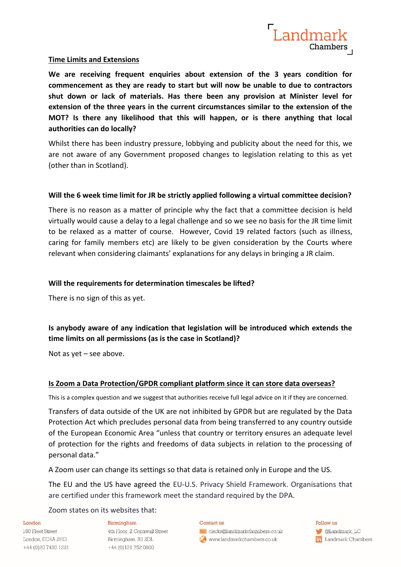

# **Time Limits and Extensions**

**We are receiving frequent enquiries about extension of the 3 years condition for commencement as they are ready to start but will now be unable to due to contractors shut down or lack of materials. Has there been any provision at Minister level for extension of the three years in the current circumstances similar to the extension of the MOT? Is there any likelihood that this will happen, or is there anything that local authorities can do locally?**

Whilst there has been industry pressure, lobbying and publicity about the need for this, we are not aware of any Government proposed changes to legislation relating to this as yet (other than in Scotland).

# **Will the 6 week time limit for JR be strictly applied following a virtual committee decision?**

There is no reason as a matter of principle why the fact that a committee decision is held virtually would cause a delay to a legal challenge and so we see no basis for the JR time limit to be relaxed as a matter of course. However, Covid 19 related factors (such as illness, caring for family members etc) are likely to be given consideration by the Courts where relevant when considering claimants' explanations for any delays in bringing a JR claim.

# **Will the requirements for determination timescales be lifted?**

There is no sign of this as yet.

# **Is anybody aware of any indication that legislation will be introduced which extends the time limits on all permissions (as is the case in Scotland)?**

Not as yet – see above.

# **Is Zoom a Data Protection/GPDR compliant platform since it can store data overseas?**

This is a complex question and we suggest that authorities receive full legal advice on it if they are concerned.

Transfers of data outside of the UK are not inhibited by GPDR but are regulated by the Data Protection Act which precludes personal data from being transferred to any country outside of the European Economic Area "unless that country or territory ensures an adequate level of protection for the rights and freedoms of data subjects in relation to the processing of personal data."

A Zoom user can change its settings so that data is retained only in Europe and the US.

The EU and the US have agreed the EU-U.S. Privacy Shield Framework. Organisations that are certified under this framework meet the standard required by the DPA.

Zoom states on its websites that:

### London

180 Fleet Street London, EC4A 2HG +44 (0) 20 7430 1221

### Birmingham

4th Floor, 2 Cornwall Street Birmingham, B3 2DL +44 (0)121 752 0800

### Contact us

clerks@landmarkchambers.co.uk to www.landmarkchambers.co.uk

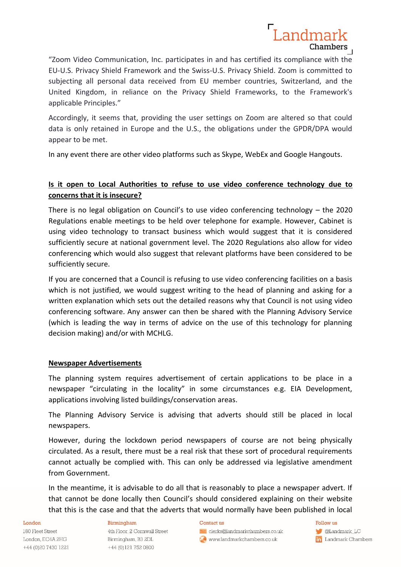"Zoom Video Communication, Inc. participates in and has certified its compliance with the EU-U.S. Privacy Shield Framework and the Swiss-U.S. Privacy Shield. Zoom is committed to subjecting all personal data received from EU member countries, Switzerland, and the United Kingdom, in reliance on the Privacy Shield Frameworks, to the Framework's applicable Principles."

Landmark

Chambers

Accordingly, it seems that, providing the user settings on Zoom are altered so that could data is only retained in Europe and the U.S., the obligations under the GPDR/DPA would appear to be met.

In any event there are other video platforms such as Skype, WebEx and Google Hangouts.

# **Is it open to Local Authorities to refuse to use video conference technology due to concerns that it is insecure?**

There is no legal obligation on Council's to use video conferencing technology – the 2020 Regulations enable meetings to be held over telephone for example. However, Cabinet is using video technology to transact business which would suggest that it is considered sufficiently secure at national government level. The 2020 Regulations also allow for video conferencing which would also suggest that relevant platforms have been considered to be sufficiently secure.

If you are concerned that a Council is refusing to use video conferencing facilities on a basis which is not justified, we would suggest writing to the head of planning and asking for a written explanation which sets out the detailed reasons why that Council is not using video conferencing software. Any answer can then be shared with the Planning Advisory Service (which is leading the way in terms of advice on the use of this technology for planning decision making) and/or with MCHLG.

# **Newspaper Advertisements**

The planning system requires advertisement of certain applications to be place in a newspaper "circulating in the locality" in some circumstances e.g. EIA Development, applications involving listed buildings/conservation areas.

The Planning Advisory Service is advising that adverts should still be placed in local newspapers.

However, during the lockdown period newspapers of course are not being physically circulated. As a result, there must be a real risk that these sort of procedural requirements cannot actually be complied with. This can only be addressed via legislative amendment from Government.

In the meantime, it is advisable to do all that is reasonably to place a newspaper advert. If that cannot be done locally then Council's should considered explaining on their website that this is the case and that the adverts that would normally have been published in local

### London

180 Fleet Street London, EC4A 2HG +44 (0)20 7430 1221

### Birmingham

4th Floor, 2 Cornwall Street Birmingham, B3 2DL +44 (0)121 752 0800

#### Contact us

clerks@landmarkchambers.co.uk to www.landmarkchambers.co.uk